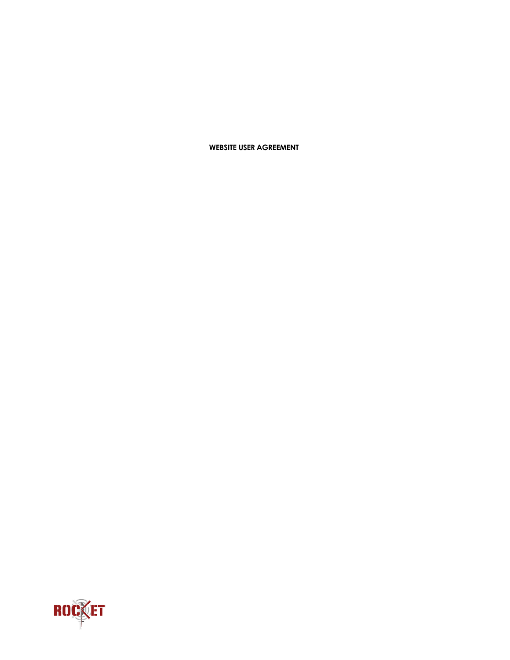## **WEBSITE USER AGREEMENT**

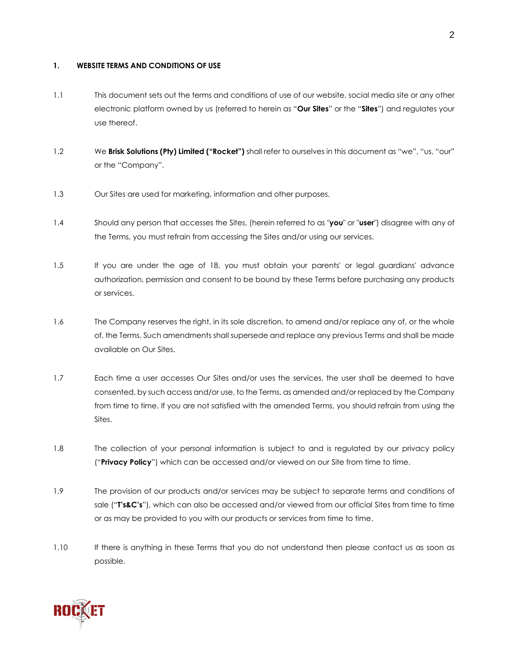#### **1. WEBSITE TERMS AND CONDITIONS OF USE**

- 1.1 This document sets out the terms and conditions of use of our website, social media site or any other electronic platform owned by us (referred to herein as "**Our Sites**" or the "**Sites**") and regulates your use thereof.
- 1.2 We **Brisk Solutions (Pty) Limited ("Rocket")** shall refer to ourselves in this document as "we", "us, "our" or the "Company".
- 1.3 Our Sites are used for marketing, information and other purposes.
- 1.4 Should any person that accesses the Sites, (herein referred to as "**you**" or "**user**") disagree with any of the Terms, you must refrain from accessing the Sites and/or using our services.
- 1.5 If you are under the age of 18, you must obtain your parents' or legal guardians' advance authorization, permission and consent to be bound by these Terms before purchasing any products or services.
- 1.6 The Company reserves the right, in its sole discretion, to amend and/or replace any of, or the whole of, the Terms. Such amendments shall supersede and replace any previous Terms and shall be made available on Our Sites.
- 1.7 Each time a user accesses Our Sites and/or uses the services, the user shall be deemed to have consented, by such access and/or use, to the Terms, as amended and/or replaced by the Company from time to time. If you are not satisfied with the amended Terms, you should refrain from using the Sites.
- 1.8 The collection of your personal information is subject to and is regulated by our privacy policy ("**Privacy Policy**") which can be accessed and/or viewed on our Site from time to time.
- 1.9 The provision of our products and/or services may be subject to separate terms and conditions of sale ("**T's&C's**"), which can also be accessed and/or viewed from our official Sites from time to time or as may be provided to you with our products or services from time to time.
- 1.10 If there is anything in these Terms that you do not understand then please contact us as soon as possible.

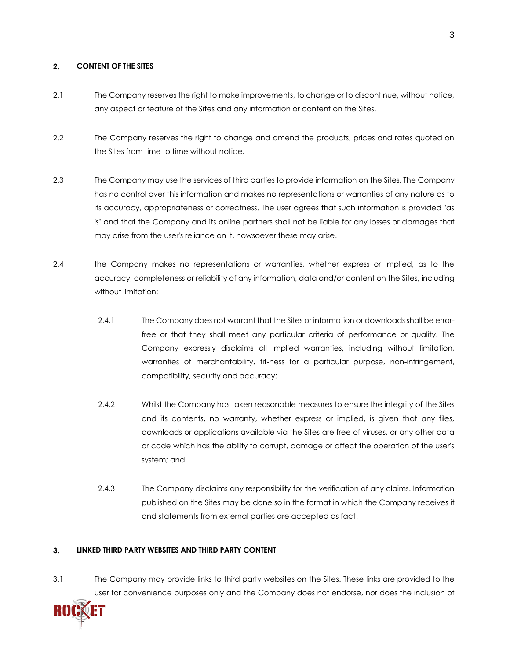## **2. CONTENT OF THE SITES**

- 2.1 The Company reserves the right to make improvements, to change or to discontinue, without notice, any aspect or feature of the Sites and any information or content on the Sites.
- 2.2 The Company reserves the right to change and amend the products, prices and rates quoted on the Sites from time to time without notice.
- 2.3 The Company may use the services of third parties to provide information on the Sites. The Company has no control over this information and makes no representations or warranties of any nature as to its accuracy, appropriateness or correctness. The user agrees that such information is provided "as is" and that the Company and its online partners shall not be liable for any losses or damages that may arise from the user's reliance on it, howsoever these may arise.
- 2.4 the Company makes no representations or warranties, whether express or implied, as to the accuracy, completeness or reliability of any information, data and/or content on the Sites, including without limitation:
	- 2.4.1 The Company does not warrant that the Sites or information or downloads shall be errorfree or that they shall meet any particular criteria of performance or quality. The Company expressly disclaims all implied warranties, including without limitation, warranties of merchantability, fit-ness for a particular purpose, non-infringement, compatibility, security and accuracy;
	- 2.4.2 Whilst the Company has taken reasonable measures to ensure the integrity of the Sites and its contents, no warranty, whether express or implied, is given that any files, downloads or applications available via the Sites are free of viruses, or any other data or code which has the ability to corrupt, damage or affect the operation of the user's system; and
	- 2.4.3 The Company disclaims any responsibility for the verification of any claims. Information published on the Sites may be done so in the format in which the Company receives it and statements from external parties are accepted as fact.

## **3. LINKED THIRD PARTY WEBSITES AND THIRD PARTY CONTENT**

3.1 The Company may provide links to third party websites on the Sites. These links are provided to the user for convenience purposes only and the Company does not endorse, nor does the inclusion of

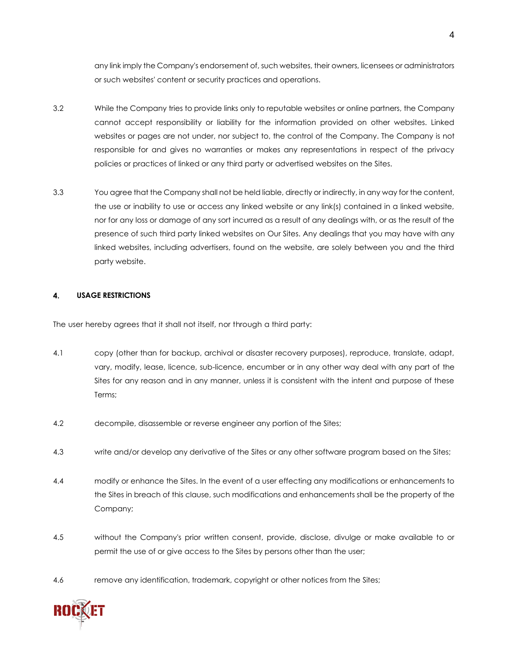any link imply the Company's endorsement of, such websites, their owners, licensees or administrators or such websites' content or security practices and operations.

- 3.2 While the Company tries to provide links only to reputable websites or online partners, the Company cannot accept responsibility or liability for the information provided on other websites. Linked websites or pages are not under, nor subject to, the control of the Company. The Company is not responsible for and gives no warranties or makes any representations in respect of the privacy policies or practices of linked or any third party or advertised websites on the Sites.
- 3.3 You agree that the Company shall not be held liable, directly or indirectly, in any way for the content, the use or inability to use or access any linked website or any link(s) contained in a linked website, nor for any loss or damage of any sort incurred as a result of any dealings with, or as the result of the presence of such third party linked websites on Our Sites. Any dealings that you may have with any linked websites, including advertisers, found on the website, are solely between you and the third party website.

## **4. USAGE RESTRICTIONS**

The user hereby agrees that it shall not itself, nor through a third party:

- 4.1 copy (other than for backup, archival or disaster recovery purposes), reproduce, translate, adapt, vary, modify, lease, licence, sub-licence, encumber or in any other way deal with any part of the Sites for any reason and in any manner, unless it is consistent with the intent and purpose of these Terms;
- 4.2 decompile, disassemble or reverse engineer any portion of the Sites;
- 4.3 write and/or develop any derivative of the Sites or any other software program based on the Sites;
- 4.4 modify or enhance the Sites. In the event of a user effecting any modifications or enhancements to the Sites in breach of this clause, such modifications and enhancements shall be the property of the Company;
- 4.5 without the Company's prior written consent, provide, disclose, divulge or make available to or permit the use of or give access to the Sites by persons other than the user;
- 4.6 remove any identification, trademark, copyright or other notices from the Sites;

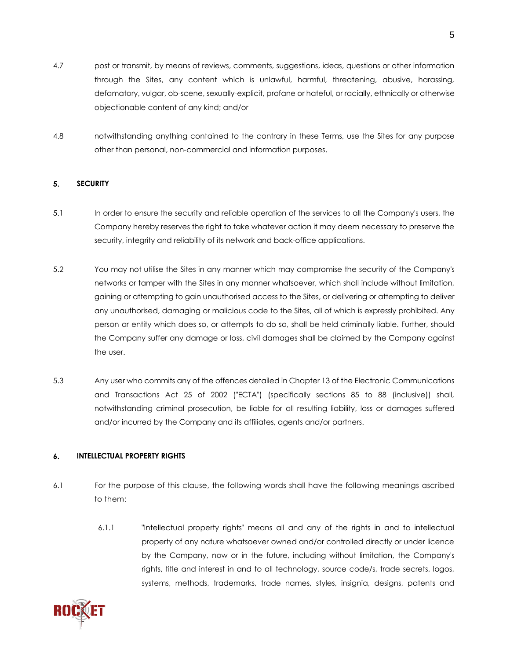- 4.7 post or transmit, by means of reviews, comments, suggestions, ideas, questions or other information through the Sites, any content which is unlawful, harmful, threatening, abusive, harassing, defamatory, vulgar, ob-scene, sexually-explicit, profane or hateful, or racially, ethnically or otherwise objectionable content of any kind; and/or
- 4.8 notwithstanding anything contained to the contrary in these Terms, use the Sites for any purpose other than personal, non-commercial and information purposes.

# **5. SECURITY**

- 5.1 In order to ensure the security and reliable operation of the services to all the Company's users, the Company hereby reserves the right to take whatever action it may deem necessary to preserve the security, integrity and reliability of its network and back-office applications.
- 5.2 You may not utilise the Sites in any manner which may compromise the security of the Company's networks or tamper with the Sites in any manner whatsoever, which shall include without limitation, gaining or attempting to gain unauthorised access to the Sites, or delivering or attempting to deliver any unauthorised, damaging or malicious code to the Sites, all of which is expressly prohibited. Any person or entity which does so, or attempts to do so, shall be held criminally liable. Further, should the Company suffer any damage or loss, civil damages shall be claimed by the Company against the user.
- 5.3 Any user who commits any of the offences detailed in Chapter 13 of the Electronic Communications and Transactions Act 25 of 2002 ("ECTA") (specifically sections 85 to 88 (inclusive)) shall, notwithstanding criminal prosecution, be liable for all resulting liability, loss or damages suffered and/or incurred by the Company and its affiliates, agents and/or partners.

## **6. INTELLECTUAL PROPERTY RIGHTS**

- 6.1 For the purpose of this clause, the following words shall have the following meanings ascribed to them:
	- 6.1.1 "Intellectual property rights" means all and any of the rights in and to intellectual property of any nature whatsoever owned and/or controlled directly or under licence by the Company, now or in the future, including without limitation, the Company's rights, title and interest in and to all technology, source code/s, trade secrets, logos, systems, methods, trademarks, trade names, styles, insignia, designs, patents and

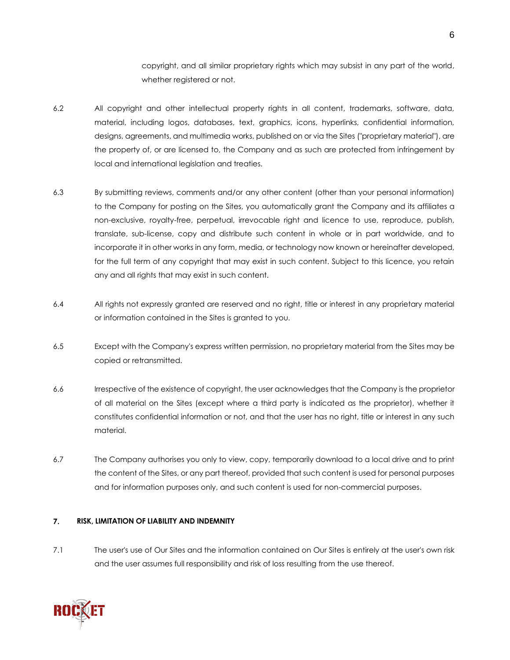copyright, and all similar proprietary rights which may subsist in any part of the world, whether registered or not.

- 6.2 All copyright and other intellectual property rights in all content, trademarks, software, data, material, including logos, databases, text, graphics, icons, hyperlinks, confidential information, designs, agreements, and multimedia works, published on or via the Sites ("proprietary material"), are the property of, or are licensed to, the Company and as such are protected from infringement by local and international legislation and treaties.
- 6.3 By submitting reviews, comments and/or any other content (other than your personal information) to the Company for posting on the Sites, you automatically grant the Company and its affiliates a non-exclusive, royalty-free, perpetual, irrevocable right and licence to use, reproduce, publish, translate, sub-license, copy and distribute such content in whole or in part worldwide, and to incorporate it in other works in any form, media, or technology now known or hereinafter developed, for the full term of any copyright that may exist in such content. Subject to this licence, you retain any and all rights that may exist in such content.
- 6.4 All rights not expressly granted are reserved and no right, title or interest in any proprietary material or information contained in the Sites is granted to you.
- 6.5 Except with the Company's express written permission, no proprietary material from the Sites may be copied or retransmitted.
- 6.6 Irrespective of the existence of copyright, the user acknowledges that the Company is the proprietor of all material on the Sites (except where a third party is indicated as the proprietor), whether it constitutes confidential information or not, and that the user has no right, title or interest in any such material.
- 6.7 The Company authorises you only to view, copy, temporarily download to a local drive and to print the content of the Sites, or any part thereof, provided that such content is used for personal purposes and for information purposes only, and such content is used for non-commercial purposes.

## **7. RISK, LIMITATION OF LIABILITY AND INDEMNITY**

7.1 The user's use of Our Sites and the information contained on Our Sites is entirely at the user's own risk and the user assumes full responsibility and risk of loss resulting from the use thereof.

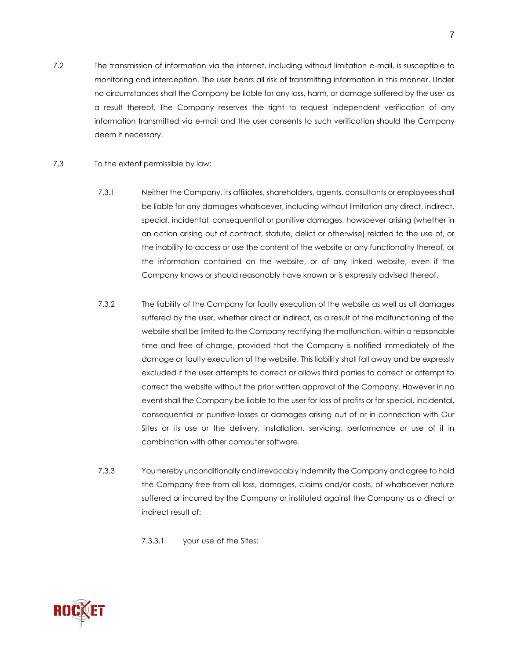- 7.2 The transmission of information via the internet, including without limitation e-mail, is susceptible to monitoring and interception. The user bears all risk of transmitting information in this manner. Under no circumstances shall the Company be liable for any loss, harm, or damage suffered by the user as a result thereof. The Company reserves the right to request independent verification of any information transmitted via e-mail and the user consents to such verification should the Company deem it necessary.
- 7.3 To the extent permissible by law:
	- 7.3.1 Neither the Company, its affiliates, shareholders, agents, consultants or employees shall be liable for any damages whatsoever, including without limitation any direct, indirect, special, incidental, consequential or punitive damages, howsoever arising (whether in an action arising out of contract, statute, delict or otherwise) related to the use of, or the inability to access or use the content of the website or any functionality thereof, or the information contained on the website, or of any linked website, even if the Company knows or should reasonably have known or is expressly advised thereof.
	- 7.3.2 The liability of the Company for faulty execution of the website as well as all damages suffered by the user, whether direct or indirect, as a result of the malfunctioning of the website shall be limited to the Company rectifying the malfunction, within a reasonable time and free of charge, provided that the Company is notified immediately of the damage or faulty execution of the website. This liability shall fall away and be expressly excluded if the user attempts to correct or allows third parties to correct or attempt to correct the website without the prior written approval of the Company. However in no event shall the Company be liable to the user for loss of profits or for special, incidental, consequential or punitive losses or damages arising out of or in connection with Our Sites or its use or the delivery, installation, servicing, performance or use of it in combination with other computer software.
	- 7.3.3 You hereby unconditionally and irrevocably indemnify the Company and agree to hold the Company free from all loss, damages, claims and/or costs, of whatsoever nature suffered or incurred by the Company or instituted against the Company as a direct or indirect result of:
		- 7.3.3.1 your use of the Sites;

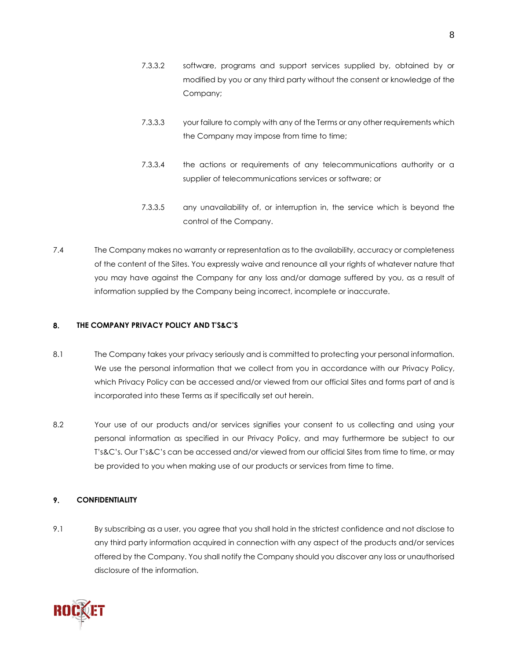- 7.3.3.2 software, programs and support services supplied by, obtained by or modified by you or any third party without the consent or knowledge of the Company;
- 7.3.3.3 your failure to comply with any of the Terms or any other requirements which the Company may impose from time to time;
- 7.3.3.4 the actions or requirements of any telecommunications authority or a supplier of telecommunications services or software; or
- 7.3.3.5 any unavailability of, or interruption in, the service which is beyond the control of the Company.
- 7.4 The Company makes no warranty or representation as to the availability, accuracy or completeness of the content of the Sites. You expressly waive and renounce all your rights of whatever nature that you may have against the Company for any loss and/or damage suffered by you, as a result of information supplied by the Company being incorrect, incomplete or inaccurate.

## **8. THE COMPANY PRIVACY POLICY AND T'S&C'S**

- 8.1 The Company takes your privacy seriously and is committed to protecting your personal information. We use the personal information that we collect from you in accordance with our Privacy Policy, which Privacy Policy can be accessed and/or viewed from our official Sites and forms part of and is incorporated into these Terms as if specifically set out herein.
- 8.2 Your use of our products and/or services signifies your consent to us collecting and using your personal information as specified in our Privacy Policy, and may furthermore be subject to our T's&C's. Our T's&C's can be accessed and/or viewed from our official Sites from time to time, or may be provided to you when making use of our products or services from time to time.

## **9. CONFIDENTIALITY**

9.1 By subscribing as a user, you agree that you shall hold in the strictest confidence and not disclose to any third party information acquired in connection with any aspect of the products and/or services offered by the Company. You shall notify the Company should you discover any loss or unauthorised disclosure of the information.

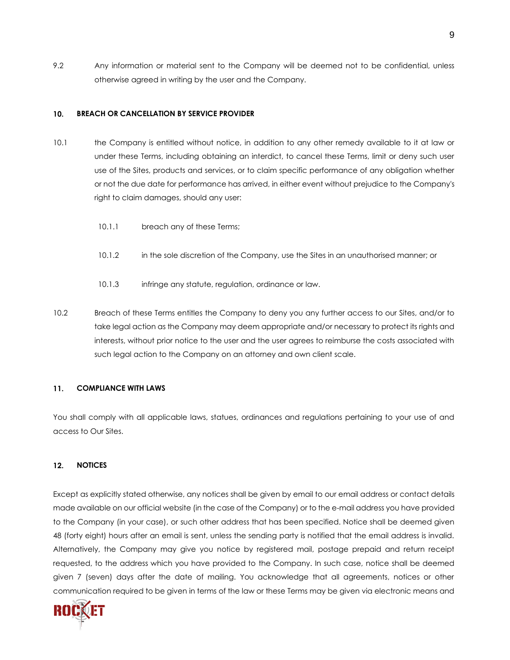9.2 Any information or material sent to the Company will be deemed not to be confidential, unless otherwise agreed in writing by the user and the Company.

#### **10. BREACH OR CANCELLATION BY SERVICE PROVIDER**

- 10.1 the Company is entitled without notice, in addition to any other remedy available to it at law or under these Terms, including obtaining an interdict, to cancel these Terms, limit or deny such user use of the Sites, products and services, or to claim specific performance of any obligation whether or not the due date for performance has arrived, in either event without prejudice to the Company's right to claim damages, should any user:
	- 10.1.1 breach any of these Terms;
	- 10.1.2 in the sole discretion of the Company, use the Sites in an unauthorised manner; or
	- 10.1.3 infringe any statute, regulation, ordinance or law.
- 10.2 Breach of these Terms entitles the Company to deny you any further access to our Sites, and/or to take legal action as the Company may deem appropriate and/or necessary to protect its rights and interests, without prior notice to the user and the user agrees to reimburse the costs associated with such legal action to the Company on an attorney and own client scale.

#### **11. COMPLIANCE WITH LAWS**

You shall comply with all applicable laws, statues, ordinances and regulations pertaining to your use of and access to Our Sites.

#### **12. NOTICES**

Except as explicitly stated otherwise, any notices shall be given by email to our email address or contact details made available on our official website (in the case of the Company) or to the e-mail address you have provided to the Company (in your case), or such other address that has been specified. Notice shall be deemed given 48 (forty eight) hours after an email is sent, unless the sending party is notified that the email address is invalid. Alternatively, the Company may give you notice by registered mail, postage prepaid and return receipt requested, to the address which you have provided to the Company. In such case, notice shall be deemed given 7 (seven) days after the date of mailing. You acknowledge that all agreements, notices or other communication required to be given in terms of the law or these Terms may be given via electronic means and

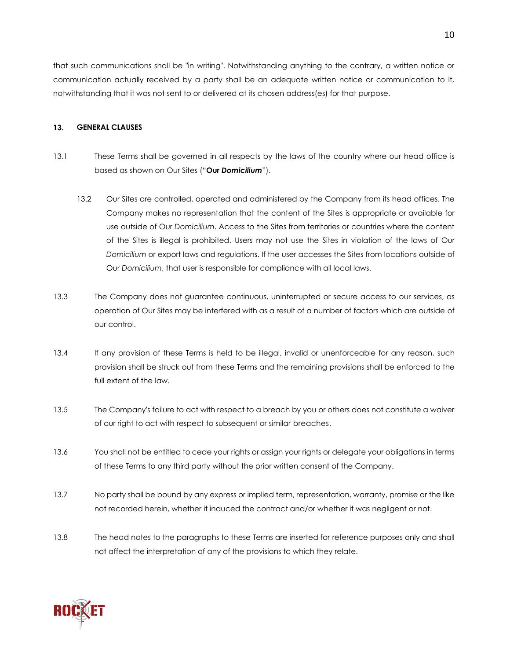that such communications shall be "in writing". Notwithstanding anything to the contrary, a written notice or communication actually received by a party shall be an adequate written notice or communication to it, notwithstanding that it was not sent to or delivered at its chosen address(es) for that purpose.

#### **13. GENERAL CLAUSES**

- 13.1 These Terms shall be governed in all respects by the laws of the country where our head office is based as shown on Our Sites ("**Our** *Domicilium*").
	- 13.2 Our Sites are controlled, operated and administered by the Company from its head offices. The Company makes no representation that the content of the Sites is appropriate or available for use outside of Our *Domicilium*. Access to the Sites from territories or countries where the content of the Sites is illegal is prohibited. Users may not use the Sites in violation of the laws of Our *Domicilium* or export laws and regulations. If the user accesses the Sites from locations outside of Our *Domicilium*, that user is responsible for compliance with all local laws.
- 13.3 The Company does not guarantee continuous, uninterrupted or secure access to our services, as operation of Our Sites may be interfered with as a result of a number of factors which are outside of our control.
- 13.4 If any provision of these Terms is held to be illegal, invalid or unenforceable for any reason, such provision shall be struck out from these Terms and the remaining provisions shall be enforced to the full extent of the law.
- 13.5 The Company's failure to act with respect to a breach by you or others does not constitute a waiver of our right to act with respect to subsequent or similar breaches.
- 13.6 You shall not be entitled to cede your rights or assign your rights or delegate your obligations in terms of these Terms to any third party without the prior written consent of the Company.
- 13.7 No party shall be bound by any express or implied term, representation, warranty, promise or the like not recorded herein, whether it induced the contract and/or whether it was negligent or not.
- 13.8 The head notes to the paragraphs to these Terms are inserted for reference purposes only and shall not affect the interpretation of any of the provisions to which they relate.